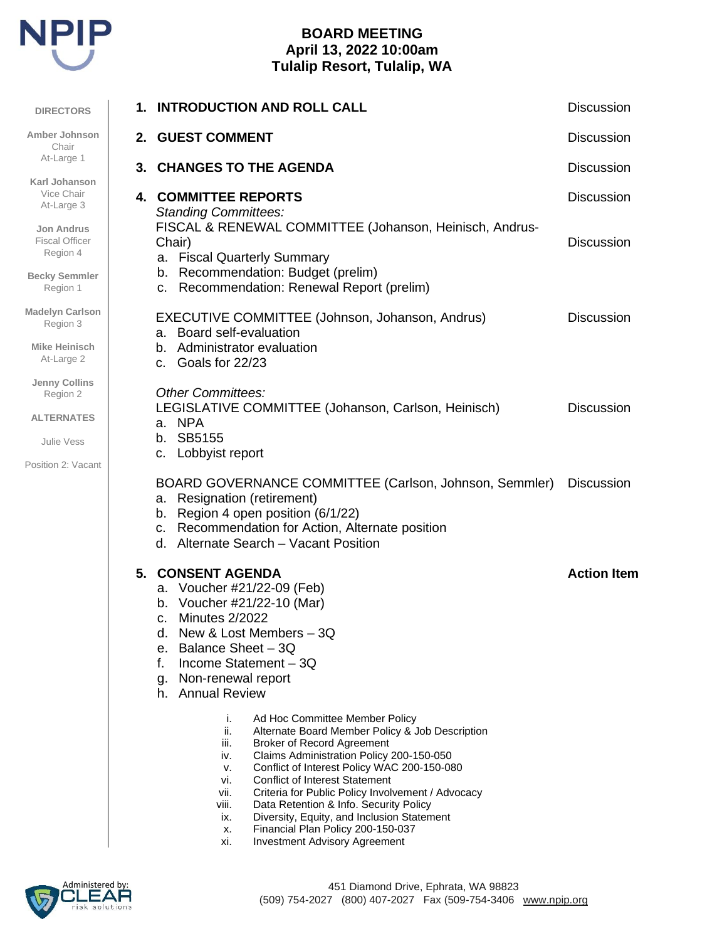

# **BOARD MEETING April 13, 2022 10:00am Tulalip Resort, Tulalip, WA**

| <b>DIRECTORS</b>                                       | 1. | <b>INTRODUCTION AND ROLL CALL</b>                                                                                                                                                                                                                                                                                                                                                                                                                                | <b>Discussion</b>  |
|--------------------------------------------------------|----|------------------------------------------------------------------------------------------------------------------------------------------------------------------------------------------------------------------------------------------------------------------------------------------------------------------------------------------------------------------------------------------------------------------------------------------------------------------|--------------------|
| Amber Johnson<br>Chair                                 |    | 2. GUEST COMMENT                                                                                                                                                                                                                                                                                                                                                                                                                                                 | <b>Discussion</b>  |
| At-Large 1                                             |    | 3. CHANGES TO THE AGENDA                                                                                                                                                                                                                                                                                                                                                                                                                                         | <b>Discussion</b>  |
| Karl Johanson<br>Vice Chair<br>At-Large 3              |    | <b>4. COMMITTEE REPORTS</b><br><b>Standing Committees:</b>                                                                                                                                                                                                                                                                                                                                                                                                       | <b>Discussion</b>  |
| <b>Jon Andrus</b><br><b>Fiscal Officer</b><br>Region 4 |    | FISCAL & RENEWAL COMMITTEE (Johanson, Heinisch, Andrus-<br>Chair)<br>a. Fiscal Quarterly Summary<br>b. Recommendation: Budget (prelim)                                                                                                                                                                                                                                                                                                                           | <b>Discussion</b>  |
| <b>Becky Semmler</b><br>Region 1                       |    | Recommendation: Renewal Report (prelim)<br>C.                                                                                                                                                                                                                                                                                                                                                                                                                    |                    |
| <b>Madelyn Carlson</b><br>Region 3                     |    | EXECUTIVE COMMITTEE (Johnson, Johanson, Andrus)<br>a. Board self-evaluation                                                                                                                                                                                                                                                                                                                                                                                      | <b>Discussion</b>  |
| <b>Mike Heinisch</b><br>At-Large 2                     |    | b. Administrator evaluation<br>Goals for 22/23<br>C.                                                                                                                                                                                                                                                                                                                                                                                                             |                    |
| <b>Jenny Collins</b><br>Region 2                       |    | <b>Other Committees:</b><br>LEGISLATIVE COMMITTEE (Johanson, Carlson, Heinisch)                                                                                                                                                                                                                                                                                                                                                                                  | <b>Discussion</b>  |
| <b>ALTERNATES</b>                                      |    | a. NPA                                                                                                                                                                                                                                                                                                                                                                                                                                                           |                    |
| <b>Julie Vess</b><br>Position 2: Vacant                |    | SB5155<br>b.<br>Lobbyist report<br>c.                                                                                                                                                                                                                                                                                                                                                                                                                            |                    |
|                                                        |    | BOARD GOVERNANCE COMMITTEE (Carlson, Johnson, Semmler)<br><b>Resignation (retirement)</b><br>а.<br>b. Region 4 open position (6/1/22)<br>c. Recommendation for Action, Alternate position<br>d. Alternate Search - Vacant Position                                                                                                                                                                                                                               | <b>Discussion</b>  |
|                                                        |    | <b>5. CONSENT AGENDA</b><br>a. Voucher #21/22-09 (Feb)<br>Voucher #21/22-10 (Mar)<br>b.<br>Minutes 2/2022<br>C.<br>New & Lost Members - 3Q<br>d.<br>e. Balance Sheet $-3Q$<br>Income Statement - 3Q<br>f.<br>g. Non-renewal report<br>h. Annual Review<br>i.<br>Ad Hoc Committee Member Policy<br>ii.<br>Alternate Board Member Policy & Job Description                                                                                                         | <b>Action Item</b> |
|                                                        |    | iii.<br><b>Broker of Record Agreement</b><br>Claims Administration Policy 200-150-050<br>iv.<br>Conflict of Interest Policy WAC 200-150-080<br>v.<br><b>Conflict of Interest Statement</b><br>vi.<br>vii.<br>Criteria for Public Policy Involvement / Advocacy<br>viii.<br>Data Retention & Info. Security Policy<br>Diversity, Equity, and Inclusion Statement<br>ix.<br>Financial Plan Policy 200-150-037<br>х.<br><b>Investment Advisory Agreement</b><br>xi. |                    |